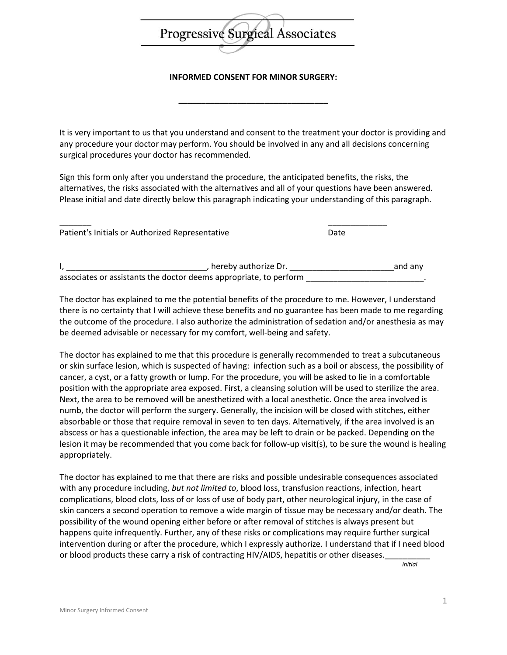# Progressive Surgical Associates

### **INFORMED CONSENT FOR MINOR SURGERY:**

**\_\_\_\_\_\_\_\_\_\_\_\_\_\_\_\_\_\_\_\_\_\_\_\_\_\_\_\_\_\_\_\_\_**

It is very important to us that you understand and consent to the treatment your doctor is providing and any procedure your doctor may perform. You should be involved in any and all decisions concerning surgical procedures your doctor has recommended.

Sign this form only after you understand the procedure, the anticipated benefits, the risks, the alternatives, the risks associated with the alternatives and all of your questions have been answered. Please initial and date directly below this paragraph indicating your understanding of this paragraph.

\_\_\_\_\_\_\_ \_\_\_\_\_\_\_\_\_\_\_\_\_ Patient's Initials or Authorized Representative **Example 2018** Date I, \_\_\_\_\_\_\_\_\_\_\_\_\_\_\_\_\_\_\_\_\_\_\_\_\_\_\_\_\_\_\_, hereby authorize Dr. \_\_\_\_\_\_\_\_\_\_\_\_\_\_\_\_\_\_\_\_\_\_\_and any associates or assistants the doctor deems appropriate, to perform \_\_\_\_\_\_\_\_\_\_\_\_\_\_

The doctor has explained to me the potential benefits of the procedure to me. However, I understand there is no certainty that I will achieve these benefits and no guarantee has been made to me regarding the outcome of the procedure. I also authorize the administration of sedation and/or anesthesia as may be deemed advisable or necessary for my comfort, well-being and safety.

The doctor has explained to me that this procedure is generally recommended to treat a subcutaneous or skin surface lesion, which is suspected of having: infection such as a boil or abscess, the possibility of cancer, a cyst, or a fatty growth or lump. For the procedure, you will be asked to lie in a comfortable position with the appropriate area exposed. First, a cleansing solution will be used to sterilize the area. Next, the area to be removed will be anesthetized with a local anesthetic. Once the area involved is numb, the doctor will perform the surgery. Generally, the incision will be closed with stitches, either absorbable or those that require removal in seven to ten days. Alternatively, if the area involved is an abscess or has a questionable infection, the area may be left to drain or be packed. Depending on the lesion it may be recommended that you come back for follow-up visit(s), to be sure the wound is healing appropriately.

The doctor has explained to me that there are risks and possible undesirable consequences associated with any procedure including, *but not limited to*, blood loss, transfusion reactions, infection, heart complications, blood clots, loss of or loss of use of body part, other neurological injury, in the case of skin cancers a second operation to remove a wide margin of tissue may be necessary and/or death. The possibility of the wound opening either before or after removal of stitches is always present but happens quite infrequently. Further, any of these risks or complications may require further surgical intervention during or after the procedure, which I expressly authorize. I understand that if I need blood or blood products these carry a risk of contracting HIV/AIDS, hepatitis or other diseases.

*initial*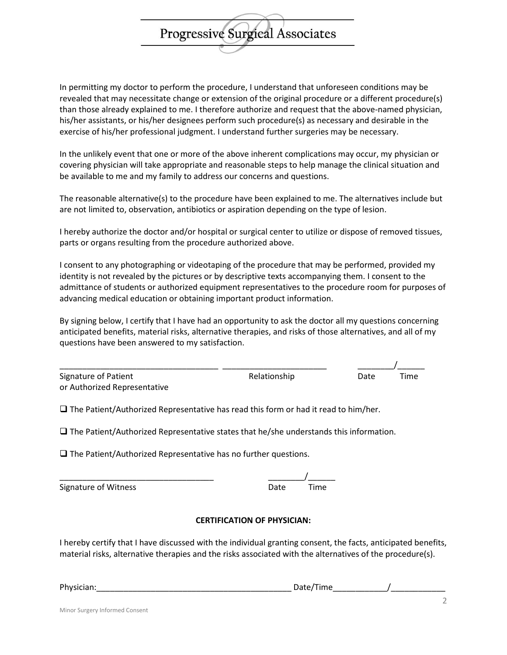In permitting my doctor to perform the procedure, I understand that unforeseen conditions may be revealed that may necessitate change or extension of the original procedure or a different procedure(s) than those already explained to me. I therefore authorize and request that the above-named physician, his/her assistants, or his/her designees perform such procedure(s) as necessary and desirable in the exercise of his/her professional judgment. I understand further surgeries may be necessary.

Progressive Surgical Associates

In the unlikely event that one or more of the above inherent complications may occur, my physician or covering physician will take appropriate and reasonable steps to help manage the clinical situation and be available to me and my family to address our concerns and questions.

The reasonable alternative(s) to the procedure have been explained to me. The alternatives include but are not limited to, observation, antibiotics or aspiration depending on the type of lesion.

I hereby authorize the doctor and/or hospital or surgical center to utilize or dispose of removed tissues, parts or organs resulting from the procedure authorized above.

I consent to any photographing or videotaping of the procedure that may be performed, provided my identity is not revealed by the pictures or by descriptive texts accompanying them. I consent to the admittance of students or authorized equipment representatives to the procedure room for purposes of advancing medical education or obtaining important product information.

By signing below, I certify that I have had an opportunity to ask the doctor all my questions concerning anticipated benefits, material risks, alternative therapies, and risks of those alternatives, and all of my questions have been answered to my satisfaction.

| Signature of Patient         | Relationship | Date | Time |
|------------------------------|--------------|------|------|
| or Authorized Representative |              |      |      |

 $\square$  The Patient/Authorized Representative has read this form or had it read to him/her.

 $\square$  The Patient/Authorized Representative states that he/she understands this information.

 $\square$  The Patient/Authorized Representative has no further questions.

Signature of Witness **Date** Time

## \_\_\_\_\_\_\_\_\_\_\_\_\_\_\_\_\_\_\_\_\_\_\_\_\_\_\_\_\_\_\_\_\_\_ \_\_\_\_\_\_\_\_/\_\_\_\_\_\_

#### **CERTIFICATION OF PHYSICIAN:**

I hereby certify that I have discussed with the individual granting consent, the facts, anticipated benefits, material risks, alternative therapies and the risks associated with the alternatives of the procedure(s).

| Physician: |           |  |
|------------|-----------|--|
|            | Date/Time |  |
|            |           |  |